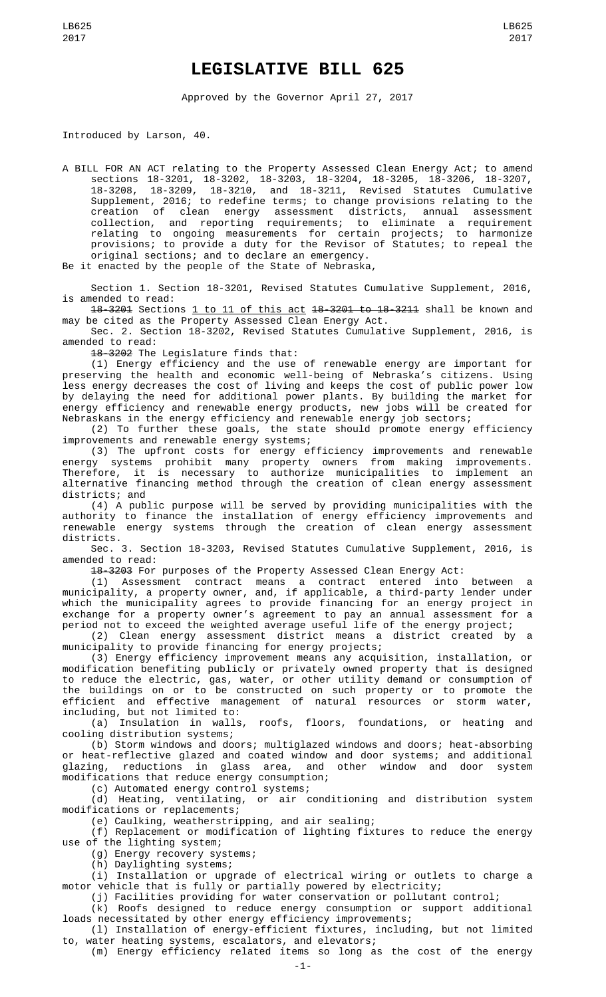## **LEGISLATIVE BILL 625**

Approved by the Governor April 27, 2017

Introduced by Larson, 40.

A BILL FOR AN ACT relating to the Property Assessed Clean Energy Act; to amend sections 18-3201, 18-3202, 18-3203, 18-3204, 18-3205, 18-3206, 18-3207, 18-3208, 18-3209, 18-3210, and 18-3211, Revised Statutes Cumulative Supplement, 2016; to redefine terms; to change provisions relating to the creation of clean energy assessment districts, annual assessment collection, and reporting requirements; to eliminate a requirement relating to ongoing measurements for certain projects; to harmonize provisions; to provide a duty for the Revisor of Statutes; to repeal the original sections; and to declare an emergency.

Be it enacted by the people of the State of Nebraska,

Section 1. Section 18-3201, Revised Statutes Cumulative Supplement, 2016, is amended to read:

18-3201 Sections 1 to 11 of this act 18-3201 to 18-3211 shall be known and may be cited as the Property Assessed Clean Energy Act.

Sec. 2. Section 18-3202, Revised Statutes Cumulative Supplement, 2016, is amended to read:

18-3202 The Legislature finds that:

(1) Energy efficiency and the use of renewable energy are important for preserving the health and economic well-being of Nebraska's citizens. Using less energy decreases the cost of living and keeps the cost of public power low by delaying the need for additional power plants. By building the market for energy efficiency and renewable energy products, new jobs will be created for Nebraskans in the energy efficiency and renewable energy job sectors;

(2) To further these goals, the state should promote energy efficiency improvements and renewable energy systems;

(3) The upfront costs for energy efficiency improvements and renewable energy systems prohibit many property owners from making improvements. Therefore, it is necessary to authorize municipalities to implement an alternative financing method through the creation of clean energy assessment districts; and

(4) A public purpose will be served by providing municipalities with the authority to finance the installation of energy efficiency improvements and renewable energy systems through the creation of clean energy assessment districts.

Sec. 3. Section 18-3203, Revised Statutes Cumulative Supplement, 2016, is amended to read:

18-3203 For purposes of the Property Assessed Clean Energy Act:

(1) Assessment contract means a contract entered into between a municipality, a property owner, and, if applicable, a third-party lender under which the municipality agrees to provide financing for an energy project in exchange for a property owner's agreement to pay an annual assessment for a period not to exceed the weighted average useful life of the energy project;

(2) Clean energy assessment district means a district created by a municipality to provide financing for energy projects;

(3) Energy efficiency improvement means any acquisition, installation, or modification benefiting publicly or privately owned property that is designed to reduce the electric, gas, water, or other utility demand or consumption of the buildings on or to be constructed on such property or to promote the efficient and effective management of natural resources or storm water,

including, but not limited to:<br>(a) Insulation in walls, roofs, floors, foundations, or heating and cooling distribution systems;

(b) Storm windows and doors; multiglazed windows and doors; heat-absorbing or heat-reflective glazed and coated window and door systems; and additional glazing, reductions in glass area, and other window and door system modifications that reduce energy consumption;

(c) Automated energy control systems;

(d) Heating, ventilating, or air conditioning and distribution system modifications or replacements;

(e) Caulking, weatherstripping, and air sealing;

(f) Replacement or modification of lighting fixtures to reduce the energy use of the lighting system;

(g) Energy recovery systems;

(h) Daylighting systems;

(i) Installation or upgrade of electrical wiring or outlets to charge a motor vehicle that is fully or partially powered by electricity;

(j) Facilities providing for water conservation or pollutant control;

(k) Roofs designed to reduce energy consumption or support additional loads necessitated by other energy efficiency improvements;

(l) Installation of energy-efficient fixtures, including, but not limited to, water heating systems, escalators, and elevators;

(m) Energy efficiency related items so long as the cost of the energy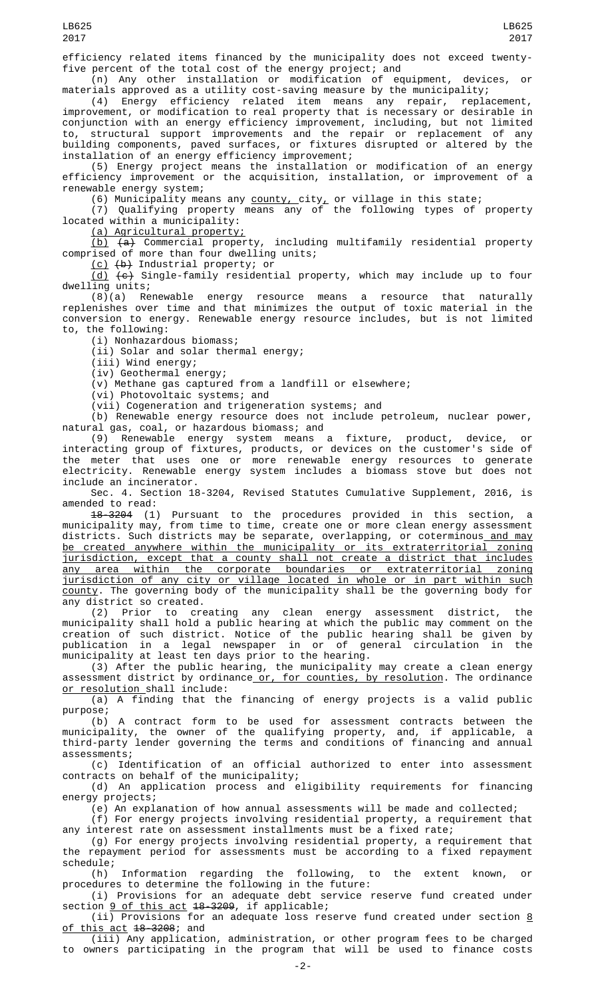efficiency related items financed by the municipality does not exceed twenty-

five percent of the total cost of the energy project; and<br>(n) Any other installation or modification of equipment, (n) Any other installation or modification of equipment, devices, or materials approved as a utility cost-saving measure by the municipality;

(4) Energy efficiency related item means any repair, replacement, improvement, or modification to real property that is necessary or desirable in conjunction with an energy efficiency improvement, including, but not limited to, structural support improvements and the repair or replacement of any building components, paved surfaces, or fixtures disrupted or altered by the installation of an energy efficiency improvement;

(5) Energy project means the installation or modification of an energy efficiency improvement or the acquisition, installation, or improvement of a renewable energy system;

(6) Municipality means any  $\overline{\text{county}}_r$  city, or village in this state;

(7) Qualifying property means any of the following types of property located within a municipality:

(a) Agricultural property;

 $(b)$   $(a)$  Commercial property, including multifamily residential property comprised of more than four dwelling units;

(c) (b) Industrial property; or

 $(d)$   $(e)$  Single-family residential property, which may include up to four dwelling units;

(8)(a) Renewable energy resource means a resource that naturally replenishes over time and that minimizes the output of toxic material in the conversion to energy. Renewable energy resource includes, but is not limited to, the following:

(i) Nonhazardous biomass;

(ii) Solar and solar thermal energy;

(iii) Wind energy;

(iv) Geothermal energy;

(v) Methane gas captured from a landfill or elsewhere;

(vi) Photovoltaic systems; and

(vii) Cogeneration and trigeneration systems; and

(b) Renewable energy resource does not include petroleum, nuclear power, natural gas, coal, or hazardous biomass; and

(9) Renewable energy system means a fixture, product, device, or interacting group of fixtures, products, or devices on the customer's side of the meter that uses one or more renewable energy resources to generate electricity. Renewable energy system includes a biomass stove but does not include an incinerator.

Sec. 4. Section 18-3204, Revised Statutes Cumulative Supplement, 2016, is amended to read:

18-3204 (1) Pursuant to the procedures provided in this section, a municipality may, from time to time, create one or more clean energy assessment districts. Such districts may be separate, overlapping, or coterminous<u> and may</u> be created anywhere within the municipality or its extraterritorial zoning jurisdiction, except that a county shall not create a district that includes any area within the corporate boundaries or extraterritorial zoning jurisdiction of any city or village located in whole or in part within such county. The governing body of the municipality shall be the governing body for any district so created.

(2) Prior to creating any clean energy assessment district, the municipality shall hold a public hearing at which the public may comment on the creation of such district. Notice of the public hearing shall be given by publication in a legal newspaper in or of general circulation in the municipality at least ten days prior to the hearing.

(3) After the public hearing, the municipality may create a clean energy assessment district by ordinance<u> or, for counties, by resolution</u>. The ordinance or resolution shall include:

(a) A finding that the financing of energy projects is a valid public purpose;

(b) A contract form to be used for assessment contracts between the municipality, the owner of the qualifying property, and, if applicable, a third-party lender governing the terms and conditions of financing and annual assessments;

(c) Identification of an official authorized to enter into assessment contracts on behalf of the municipality;

(d) An application process and eligibility requirements for financing energy projects;

(e) An explanation of how annual assessments will be made and collected;

(f) For energy projects involving residential property, a requirement that any interest rate on assessment installments must be a fixed rate;

(g) For energy projects involving residential property, a requirement that the repayment period for assessments must be according to a fixed repayment schedule;<br>(h)

Information regarding the following, to the extent known, or procedures to determine the following in the future:

(i) Provisions for an adequate debt service reserve fund created under section 9 of this act 18-3209, if applicable;

(ii) Provisions for an adequate loss reserve fund created under section <u>8</u> <u>of this act</u> 18–3208; and

(iii) Any application, administration, or other program fees to be charged to owners participating in the program that will be used to finance costs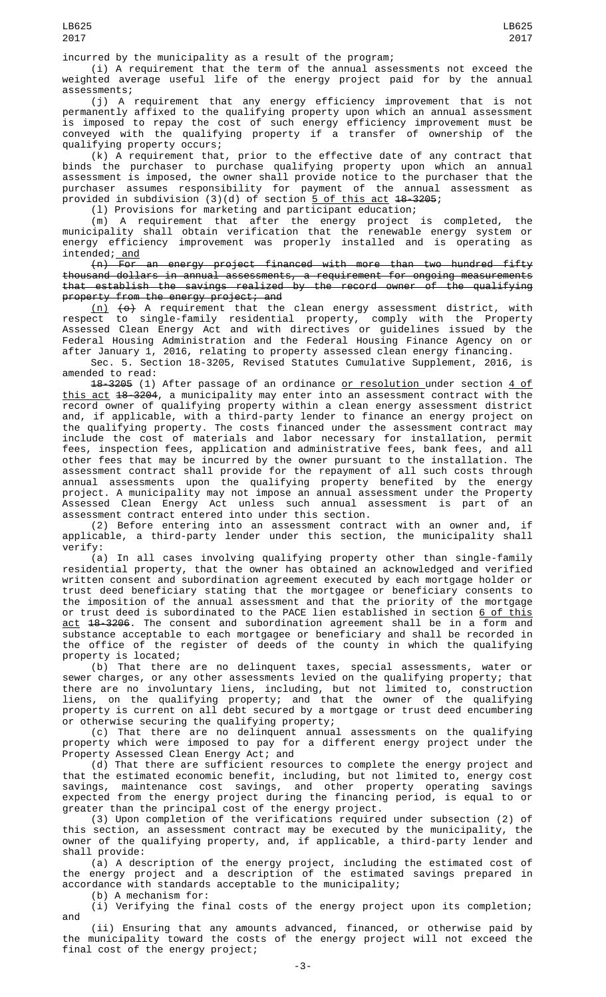(i) A requirement that the term of the annual assessments not exceed the weighted average useful life of the energy project paid for by the annual assessments;

(j) A requirement that any energy efficiency improvement that is not permanently affixed to the qualifying property upon which an annual assessment is imposed to repay the cost of such energy efficiency improvement must be conveyed with the qualifying property if a transfer of ownership of the qualifying property occurs;

(k) A requirement that, prior to the effective date of any contract that binds the purchaser to purchase qualifying property upon which an annual assessment is imposed, the owner shall provide notice to the purchaser that the purchaser assumes responsibility for payment of the annual assessment as provided in subdivision (3)(d) of section <u>5 of this act</u> <del>18-3205</del>;

(l) Provisions for marketing and participant education;

(m) A requirement that after the energy project is completed, the municipality shall obtain verification that the renewable energy system or energy efficiency improvement was properly installed and is operating as intended; <u>and</u>

(n) For an energy project financed with more than two hundred fifty thousand dollars in annual assessments, a requirement for ongoing measurements that establish the savings realized by the record owner of the qualifying property from the energy project; and

<u>(n)</u> <del>(o)</del> A requirement that the clean energy assessment district, with respect to single-family residential property, comply with the Property Assessed Clean Energy Act and with directives or guidelines issued by the Federal Housing Administration and the Federal Housing Finance Agency on or after January 1, 2016, relating to property assessed clean energy financing.

Sec. 5. Section 18-3205, Revised Statutes Cumulative Supplement, 2016, is amended to read:

18-3205 (1) After passage of an ordinance or resolution under section 4 of <u>this act</u> <del>18-3204</del>, a municipality may enter into an assessment contract with the record owner of qualifying property within a clean energy assessment district and, if applicable, with a third-party lender to finance an energy project on the qualifying property. The costs financed under the assessment contract may include the cost of materials and labor necessary for installation, permit fees, inspection fees, application and administrative fees, bank fees, and all other fees that may be incurred by the owner pursuant to the installation. The assessment contract shall provide for the repayment of all such costs through annual assessments upon the qualifying property benefited by the energy project. A municipality may not impose an annual assessment under the Property Assessed Clean Energy Act unless such annual assessment is part of an assessment contract entered into under this section.

(2) Before entering into an assessment contract with an owner and, if applicable, a third-party lender under this section, the municipality shall verify:

(a) In all cases involving qualifying property other than single-family residential property, that the owner has obtained an acknowledged and verified written consent and subordination agreement executed by each mortgage holder or trust deed beneficiary stating that the mortgagee or beneficiary consents to the imposition of the annual assessment and that the priority of the mortgage or trust deed is subordinated to the PACE lien established in section <u>6 of this</u> <u>act</u> <del>18-3206</del>. The consent and subordination agreement shall be in a form and substance acceptable to each mortgagee or beneficiary and shall be recorded in the office of the register of deeds of the county in which the qualifying property is located;

(b) That there are no delinquent taxes, special assessments, water or sewer charges, or any other assessments levied on the qualifying property; that there are no involuntary liens, including, but not limited to, construction liens, on the qualifying property; and that the owner of the qualifying property is current on all debt secured by a mortgage or trust deed encumbering or otherwise securing the qualifying property;

(c) That there are no delinquent annual assessments on the qualifying property which were imposed to pay for a different energy project under the Property Assessed Clean Energy Act; and

(d) That there are sufficient resources to complete the energy project and that the estimated economic benefit, including, but not limited to, energy cost savings, maintenance cost savings, and other property operating savings expected from the energy project during the financing period, is equal to or greater than the principal cost of the energy project.

(3) Upon completion of the verifications required under subsection (2) of this section, an assessment contract may be executed by the municipality, the owner of the qualifying property, and, if applicable, a third-party lender and shall provide:

(a) A description of the energy project, including the estimated cost of the energy project and a description of the estimated savings prepared in accordance with standards acceptable to the municipality;

(b) A mechanism for:

(i) Verifying the final costs of the energy project upon its completion; and

(ii) Ensuring that any amounts advanced, financed, or otherwise paid by the municipality toward the costs of the energy project will not exceed the final cost of the energy project;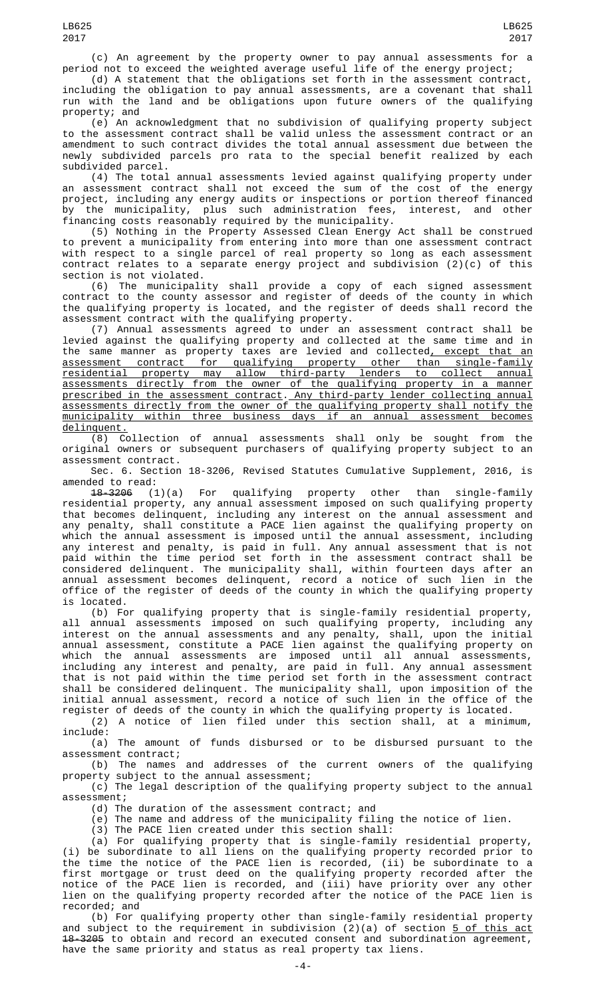(d) A statement that the obligations set forth in the assessment contract, including the obligation to pay annual assessments, are a covenant that shall run with the land and be obligations upon future owners of the qualifying property; and

(e) An acknowledgment that no subdivision of qualifying property subject to the assessment contract shall be valid unless the assessment contract or an amendment to such contract divides the total annual assessment due between the newly subdivided parcels pro rata to the special benefit realized by each subdivided parcel.

(4) The total annual assessments levied against qualifying property under an assessment contract shall not exceed the sum of the cost of the energy project, including any energy audits or inspections or portion thereof financed by the municipality, plus such administration fees, interest, and other financing costs reasonably required by the municipality.

(5) Nothing in the Property Assessed Clean Energy Act shall be construed to prevent a municipality from entering into more than one assessment contract with respect to a single parcel of real property so long as each assessment contract relates to a separate energy project and subdivision (2)(c) of this section is not violated.

(6) The municipality shall provide a copy of each signed assessment contract to the county assessor and register of deeds of the county in which the qualifying property is located, and the register of deeds shall record the assessment contract with the qualifying property.

(7) Annual assessments agreed to under an assessment contract shall be levied against the qualifying property and collected at the same time and in the same manner as property taxes are levied and collected, except that an assessment contract for qualifying property other than single-family residential property may allow third-party lenders to collect annual assessments directly from the owner of the qualifying property in a manner prescribed in the assessment contract. Any third-party lender collecting annual assessments directly from the owner of the qualifying property shall notify the municipality within three business days if an annual assessment becomes delinquent.

(8) Collection of annual assessments shall only be sought from the original owners or subsequent purchasers of qualifying property subject to an assessment contract.

Sec. 6. Section 18-3206, Revised Statutes Cumulative Supplement, 2016, is amended to read:

18-3206 (1)(a) For qualifying property other than single-family residential property, any annual assessment imposed on such qualifying property that becomes delinquent, including any interest on the annual assessment and any penalty, shall constitute a PACE lien against the qualifying property on which the annual assessment is imposed until the annual assessment, including any interest and penalty, is paid in full. Any annual assessment that is not paid within the time period set forth in the assessment contract shall be considered delinquent. The municipality shall, within fourteen days after an annual assessment becomes delinquent, record a notice of such lien in the office of the register of deeds of the county in which the qualifying property is located.

(b) For qualifying property that is single-family residential property, all annual assessments imposed on such qualifying property, including any interest on the annual assessments and any penalty, shall, upon the initial annual assessment, constitute a PACE lien against the qualifying property on which the annual assessments are imposed until all annual assessments, including any interest and penalty, are paid in full. Any annual assessment that is not paid within the time period set forth in the assessment contract shall be considered delinquent. The municipality shall, upon imposition of the initial annual assessment, record a notice of such lien in the office of the register of deeds of the county in which the qualifying property is located.

(2) A notice of lien filed under this section shall, at a minimum, include:

(a) The amount of funds disbursed or to be disbursed pursuant to the assessment contract;

(b) The names and addresses of the current owners of the qualifying property subject to the annual assessment;

(c) The legal description of the qualifying property subject to the annual assessment;

(d) The duration of the assessment contract; and

(e) The name and address of the municipality filing the notice of lien.

(3) The PACE lien created under this section shall:

(a) For qualifying property that is single-family residential property, (i) be subordinate to all liens on the qualifying property recorded prior to the time the notice of the PACE lien is recorded, (ii) be subordinate to a first mortgage or trust deed on the qualifying property recorded after the notice of the PACE lien is recorded, and (iii) have priority over any other lien on the qualifying property recorded after the notice of the PACE lien is recorded; and

(b) For qualifying property other than single-family residential property and subject to the requirement in subdivision (2)(a) of section <u>5 of this act</u> 18-3205 to obtain and record an executed consent and subordination agreement, have the same priority and status as real property tax liens.

LB625 2017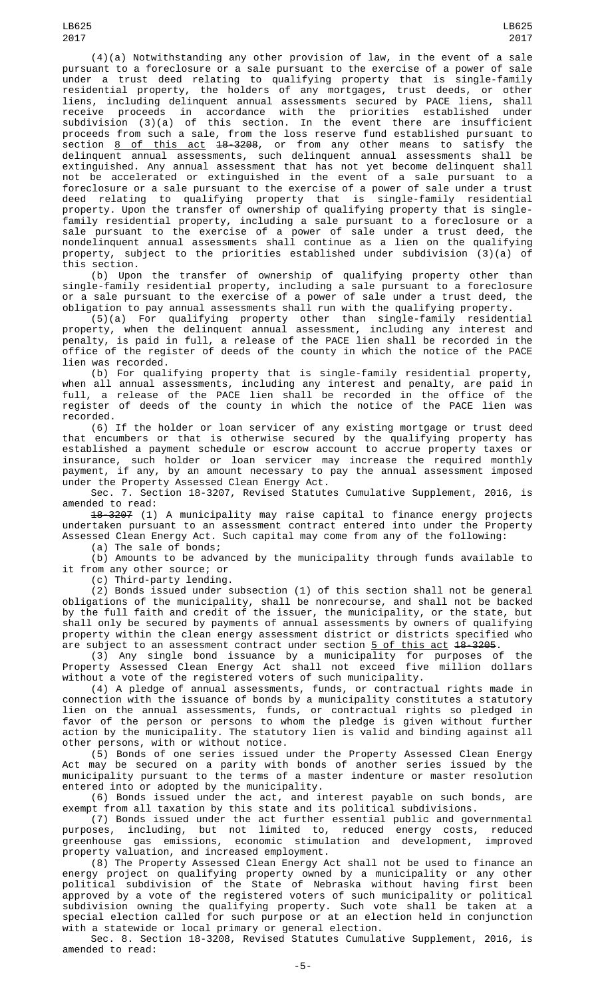(4)(a) Notwithstanding any other provision of law, in the event of a sale pursuant to a foreclosure or a sale pursuant to the exercise of a power of sale under a trust deed relating to qualifying property that is single-family residential property, the holders of any mortgages, trust deeds, or other liens, including delinquent annual assessments secured by PACE liens, shall receive proceeds in accordance with the priorities established under subdivision (3)(a) of this section. In the event there are insufficient proceeds from such a sale, from the loss reserve fund established pursuant to section <u>8 of this act</u> <del>18-3208</del>, or from any other means to satisfy the delinquent annual assessments, such delinquent annual assessments shall be extinguished. Any annual assessment that has not yet become delinquent shall not be accelerated or extinguished in the event of a sale pursuant to a foreclosure or a sale pursuant to the exercise of a power of sale under a trust deed relating to qualifying property that is single-family residential property. Upon the transfer of ownership of qualifying property that is singlefamily residential property, including a sale pursuant to a foreclosure or a sale pursuant to the exercise of a power of sale under a trust deed, the nondelinquent annual assessments shall continue as a lien on the qualifying property, subject to the priorities established under subdivision (3)(a) of

this section. (b) Upon the transfer of ownership of qualifying property other than single-family residential property, including a sale pursuant to a foreclosure or a sale pursuant to the exercise of a power of sale under a trust deed, the obligation to pay annual assessments shall run with the qualifying property.

(5)(a) For qualifying property other than single-family residential property, when the delinquent annual assessment, including any interest and penalty, is paid in full, a release of the PACE lien shall be recorded in the office of the register of deeds of the county in which the notice of the PACE lien was recorded.

(b) For qualifying property that is single-family residential property, when all annual assessments, including any interest and penalty, are paid in full, a release of the PACE lien shall be recorded in the office of the register of deeds of the county in which the notice of the PACE lien was recorded.

(6) If the holder or loan servicer of any existing mortgage or trust deed that encumbers or that is otherwise secured by the qualifying property has established a payment schedule or escrow account to accrue property taxes or insurance, such holder or loan servicer may increase the required monthly payment, if any, by an amount necessary to pay the annual assessment imposed under the Property Assessed Clean Energy Act.

Sec. 7. Section 18-3207, Revised Statutes Cumulative Supplement, 2016, is amended to read:

18-3207 (1) A municipality may raise capital to finance energy projects undertaken pursuant to an assessment contract entered into under the Property Assessed Clean Energy Act. Such capital may come from any of the following:

(a) The sale of bonds;

(b) Amounts to be advanced by the municipality through funds available to it from any other source; or

(c) Third-party lending.

(2) Bonds issued under subsection (1) of this section shall not be general obligations of the municipality, shall be nonrecourse, and shall not be backed by the full faith and credit of the issuer, the municipality, or the state, but shall only be secured by payments of annual assessments by owners of qualifying property within the clean energy assessment district or districts specified who are subject to an assessment contract under section <u>5 of this act</u> 1<del>8-3205</del>.

(3) Any single bond issuance by a municipality for purposes of the Property Assessed Clean Energy Act shall not exceed five million dollars without a vote of the registered voters of such municipality.

(4) A pledge of annual assessments, funds, or contractual rights made in connection with the issuance of bonds by a municipality constitutes a statutory lien on the annual assessments, funds, or contractual rights so pledged in favor of the person or persons to whom the pledge is given without further action by the municipality. The statutory lien is valid and binding against all other persons, with or without notice.

(5) Bonds of one series issued under the Property Assessed Clean Energy Act may be secured on a parity with bonds of another series issued by the municipality pursuant to the terms of a master indenture or master resolution entered into or adopted by the municipality.

(6) Bonds issued under the act, and interest payable on such bonds, are exempt from all taxation by this state and its political subdivisions.

(7) Bonds issued under the act further essential public and governmental purposes, including, but not limited to, reduced energy costs, reduced greenhouse gas emissions, economic stimulation and development, improved property valuation, and increased employment.

(8) The Property Assessed Clean Energy Act shall not be used to finance an energy project on qualifying property owned by a municipality or any other political subdivision of the State of Nebraska without having first been approved by a vote of the registered voters of such municipality or political subdivision owning the qualifying property. Such vote shall be taken at a special election called for such purpose or at an election held in conjunction with a statewide or local primary or general election.

Sec. 8. Section 18-3208, Revised Statutes Cumulative Supplement, 2016, is amended to read: